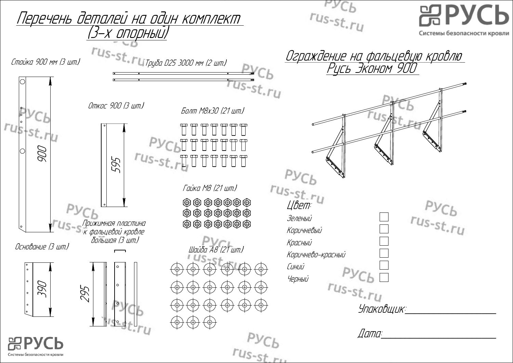